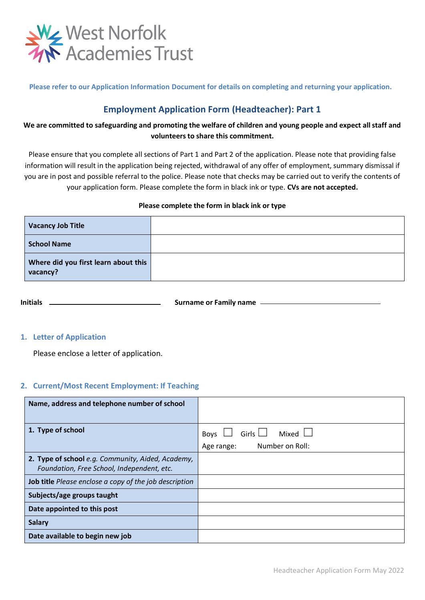

**Please refer to our Application Information Document for details on completing and returning your application.**

# **Employment Application Form (Headteacher): Part 1**

## **We are committed to safeguarding and promoting the welfare of children and young people and expect all staff and volunteers to share this commitment.**

Please ensure that you complete all sections of Part 1 and Part 2 of the application. Please note that providing false information will result in the application being rejected, withdrawal of any offer of employment, summary dismissal if you are in post and possible referral to the police. Please note that checks may be carried out to verify the contents of your application form. Please complete the form in black ink or type. **CVs are not accepted.**

#### **Please complete the form in black ink or type**

| <b>Vacancy Job Title</b>                         |  |
|--------------------------------------------------|--|
| <b>School Name</b>                               |  |
| Where did you first learn about this<br>vacancy? |  |

**Initials Surname or Family name**  $\qquad$ 

### **1. Letter of Application**

Please enclose a letter of application.

### **2. Current/Most Recent Employment: If Teaching**

| Name, address and telephone number of school                                                    |                                      |
|-------------------------------------------------------------------------------------------------|--------------------------------------|
| 1. Type of school                                                                               | Girls $\Box$<br>Mixed $\Box$<br>Boys |
|                                                                                                 | Number on Roll:<br>Age range:        |
| 2. Type of school e.g. Community, Aided, Academy,<br>Foundation, Free School, Independent, etc. |                                      |
| <b>Job title</b> Please enclose a copy of the job description                                   |                                      |
| Subjects/age groups taught                                                                      |                                      |
| Date appointed to this post                                                                     |                                      |
| <b>Salary</b>                                                                                   |                                      |
| Date available to begin new job                                                                 |                                      |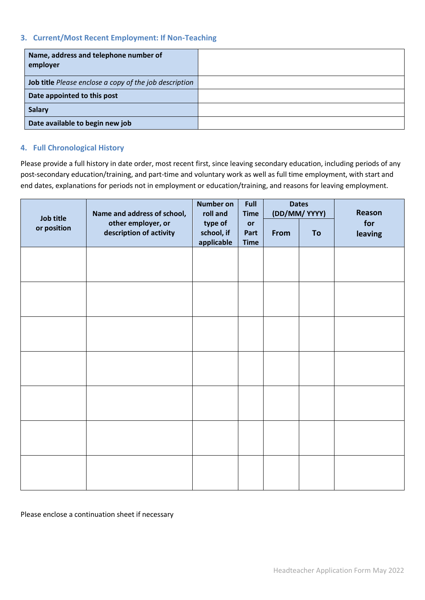### **3. Current/Most Recent Employment: If Non-Teaching**

| Name, address and telephone number of<br>employer             |  |
|---------------------------------------------------------------|--|
| <b>Job title</b> Please enclose a copy of the job description |  |
| Date appointed to this post                                   |  |
| <b>Salary</b>                                                 |  |
| Date available to begin new job                               |  |

### **4. Full Chronological History**

Please provide a full history in date order, most recent first, since leaving secondary education, including periods of any post-secondary education/training, and part-time and voluntary work as well as full time employment, with start and end dates, explanations for periods not in employment or education/training, and reasons for leaving employment.

|                          | Name and address of school,                   | <b>Number on</b><br>roll and        | Full<br><b>Time</b>       |      | <b>Dates</b><br>(DD/MM/YYYY) | Reason         |
|--------------------------|-----------------------------------------------|-------------------------------------|---------------------------|------|------------------------------|----------------|
| Job title<br>or position | other employer, or<br>description of activity | type of<br>school, if<br>applicable | or<br>Part<br><b>Time</b> | From | To                           | for<br>leaving |
|                          |                                               |                                     |                           |      |                              |                |
|                          |                                               |                                     |                           |      |                              |                |
|                          |                                               |                                     |                           |      |                              |                |
|                          |                                               |                                     |                           |      |                              |                |
|                          |                                               |                                     |                           |      |                              |                |
|                          |                                               |                                     |                           |      |                              |                |
|                          |                                               |                                     |                           |      |                              |                |
|                          |                                               |                                     |                           |      |                              |                |

#### Please enclose a continuation sheet if necessary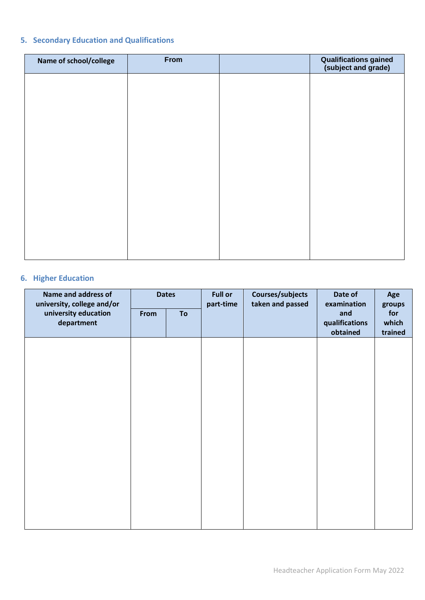# **5. Secondary Education and Qualifications**

| Name of school/college | From | <b>Qualifications gained</b><br>(subject and grade) |
|------------------------|------|-----------------------------------------------------|
|                        |      |                                                     |
|                        |      |                                                     |
|                        |      |                                                     |
|                        |      |                                                     |
|                        |      |                                                     |
|                        |      |                                                     |
|                        |      |                                                     |
|                        |      |                                                     |
|                        |      |                                                     |

# **6. Higher Education**

| Name and address of<br>university, college and/or | <b>Dates</b> |    | <b>Full or</b><br>part-time |                  | Date of<br>examination            | Age<br>groups           |
|---------------------------------------------------|--------------|----|-----------------------------|------------------|-----------------------------------|-------------------------|
| university education<br>department                | From         | To |                             | taken and passed | and<br>qualifications<br>obtained | for<br>which<br>trained |
|                                                   |              |    |                             |                  |                                   |                         |
|                                                   |              |    |                             |                  |                                   |                         |
|                                                   |              |    |                             |                  |                                   |                         |
|                                                   |              |    |                             |                  |                                   |                         |
|                                                   |              |    |                             |                  |                                   |                         |
|                                                   |              |    |                             |                  |                                   |                         |
|                                                   |              |    |                             |                  |                                   |                         |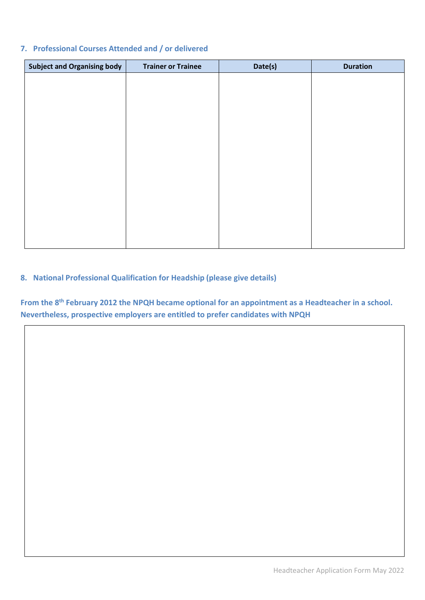## **7. Professional Courses Attended and / or delivered**

| <b>Subject and Organising body</b> | <b>Trainer or Trainee</b> | Date(s) | <b>Duration</b> |
|------------------------------------|---------------------------|---------|-----------------|
|                                    |                           |         |                 |
|                                    |                           |         |                 |
|                                    |                           |         |                 |
|                                    |                           |         |                 |
|                                    |                           |         |                 |
|                                    |                           |         |                 |
|                                    |                           |         |                 |
|                                    |                           |         |                 |
|                                    |                           |         |                 |
|                                    |                           |         |                 |
|                                    |                           |         |                 |
|                                    |                           |         |                 |
|                                    |                           |         |                 |

# **8. National Professional Qualification for Headship (please give details)**

**From the 8th February 2012 the NPQH became optional for an appointment as a Headteacher in a school. Nevertheless, prospective employers are entitled to prefer candidates with NPQH**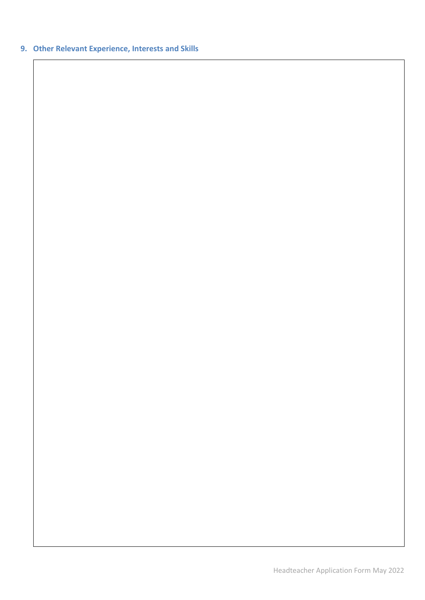# **9. Other Relevant Experience, Interests and Skills**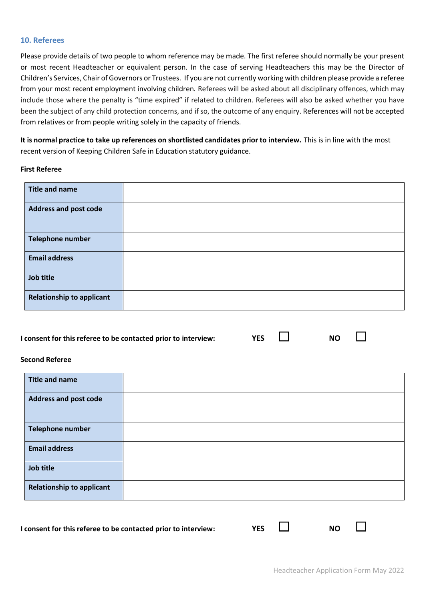#### **10. Referees**

Please provide details of two people to whom reference may be made. The first referee should normally be your present or most recent Headteacher or equivalent person. In the case of serving Headteachers this may be the Director of Children's Services, Chair of Governors or Trustees. If you are not currently working with children please provide a referee from your most recent employment involving children. Referees will be asked about all disciplinary offences, which may include those where the penalty is "time expired" if related to children. Referees will also be asked whether you have been the subject of any child protection concerns, and if so, the outcome of any enquiry. References will not be accepted from relatives or from people writing solely in the capacity of friends.

**It is normal practice to take up references on shortlisted candidates prior to interview.** This is in line with the most recent version of Keeping Children Safe in Education statutory guidance.

#### **First Referee**

| <b>Title and name</b>            |  |
|----------------------------------|--|
| <b>Address and post code</b>     |  |
| <b>Telephone number</b>          |  |
| <b>Email address</b>             |  |
| Job title                        |  |
| <b>Relationship to applicant</b> |  |

#### **I consent for this referee to be contacted prior to interview: YES** ☐ **NO** ☐

| ۰. |  |
|----|--|
|    |  |

### **Second Referee**

| <b>Title and name</b>            |  |
|----------------------------------|--|
| <b>Address and post code</b>     |  |
| <b>Telephone number</b>          |  |
| <b>Email address</b>             |  |
| Job title                        |  |
| <b>Relationship to applicant</b> |  |

**I consent for this referee to be contacted prior to interview: YES** ☐ **NO** ☐

| ú |  |  |
|---|--|--|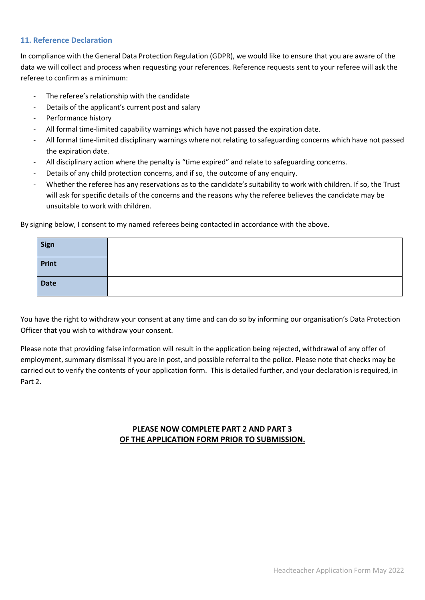#### **11. Reference Declaration**

In compliance with the General Data Protection Regulation (GDPR), we would like to ensure that you are aware of the data we will collect and process when requesting your references. Reference requests sent to your referee will ask the referee to confirm as a minimum:

- The referee's relationship with the candidate
- Details of the applicant's current post and salary
- Performance history
- All formal time-limited capability warnings which have not passed the expiration date.
- All formal time-limited disciplinary warnings where not relating to safeguarding concerns which have not passed the expiration date.
- All disciplinary action where the penalty is "time expired" and relate to safeguarding concerns.
- Details of any child protection concerns, and if so, the outcome of any enquiry.
- Whether the referee has any reservations as to the candidate's suitability to work with children. If so, the Trust will ask for specific details of the concerns and the reasons why the referee believes the candidate may be unsuitable to work with children.

By signing below, I consent to my named referees being contacted in accordance with the above.

| Sign        |  |
|-------------|--|
| Print       |  |
| <b>Date</b> |  |

You have the right to withdraw your consent at any time and can do so by informing our organisation's Data Protection Officer that you wish to withdraw your consent.

Please note that providing false information will result in the application being rejected, withdrawal of any offer of employment, summary dismissal if you are in post, and possible referral to the police. Please note that checks may be carried out to verify the contents of your application form. This is detailed further, and your declaration is required, in Part 2.

### **PLEASE NOW COMPLETE PART 2 AND PART 3 OF THE APPLICATION FORM PRIOR TO SUBMISSION.**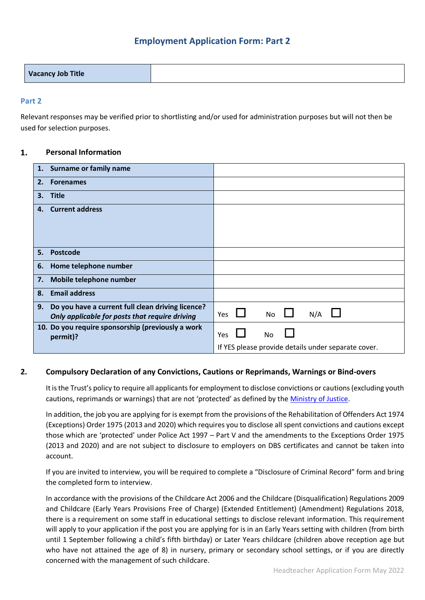## **Employment Application Form: Part 2**

| <b>Vacancy Job Title</b> |  |
|--------------------------|--|
|                          |  |

#### **Part 2**

Relevant responses may be verified prior to shortlisting and/or used for administration purposes but will not then be used for selection purposes.

#### $1.$ **Personal Information**

|    | 1. Surname or family name                                                                           |                                                     |  |  |           |     |  |
|----|-----------------------------------------------------------------------------------------------------|-----------------------------------------------------|--|--|-----------|-----|--|
| 2. | <b>Forenames</b>                                                                                    |                                                     |  |  |           |     |  |
| 3. | <b>Title</b>                                                                                        |                                                     |  |  |           |     |  |
| 4. | <b>Current address</b>                                                                              |                                                     |  |  |           |     |  |
|    |                                                                                                     |                                                     |  |  |           |     |  |
|    |                                                                                                     |                                                     |  |  |           |     |  |
| 5. | <b>Postcode</b>                                                                                     |                                                     |  |  |           |     |  |
| 6. | Home telephone number                                                                               |                                                     |  |  |           |     |  |
| 7. | Mobile telephone number                                                                             |                                                     |  |  |           |     |  |
| 8. | <b>Email address</b>                                                                                |                                                     |  |  |           |     |  |
| 9. | Do you have a current full clean driving licence?<br>Only applicable for posts that require driving | Yes                                                 |  |  | <b>No</b> | N/A |  |
|    | 10. Do you require sponsorship (previously a work<br>permit)?                                       | <b>Yes</b>                                          |  |  | No.       |     |  |
|    |                                                                                                     | If YES please provide details under separate cover. |  |  |           |     |  |

### **2. Compulsory Declaration of any Convictions, Cautions or Reprimands, Warnings or Bind-overs**

It is the Trust's policy to require all applicants for employment to disclose convictions or cautions (excluding youth cautions, reprimands or warnings) that are not 'protected' as defined by the [Ministry of Justice.](https://www.gov.uk/government/publications/new-guidance-on-the-rehabilitation-of-offenders-act-1974.)

In addition, the job you are applying for is exempt from the provisions of the Rehabilitation of Offenders Act 1974 (Exceptions) Order 1975 (2013 and 2020) which requires you to disclose all spent convictions and cautions except those which are 'protected' under Police Act 1997 – Part V and the amendments to the Exceptions Order 1975 (2013 and 2020) and are not subject to disclosure to employers on DBS certificates and cannot be taken into account.

If you are invited to interview, you will be required to complete a "Disclosure of Criminal Record" form and bring the completed form to interview.

In accordance with the provisions of the Childcare Act 2006 and the Childcare (Disqualification) Regulations 2009 and Childcare (Early Years Provisions Free of Charge) (Extended Entitlement) (Amendment) Regulations 2018, there is a requirement on some staff in educational settings to disclose relevant information. This requirement will apply to your application if the post you are applying for is in an Early Years setting with children (from birth until 1 September following a child's fifth birthday) or Later Years childcare (children above reception age but who have not attained the age of 8) in nursery, primary or secondary school settings, or if you are directly concerned with the management of such childcare.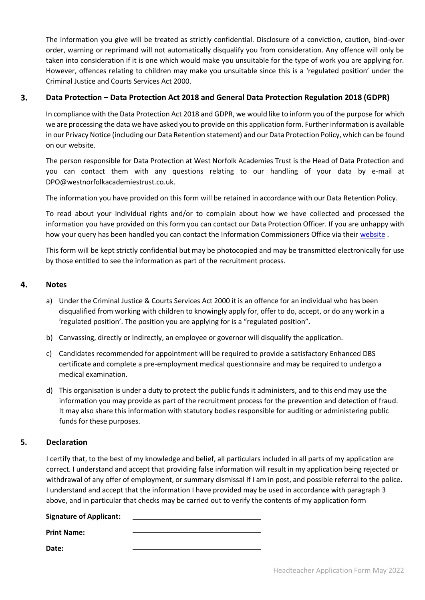The information you give will be treated as strictly confidential. Disclosure of a conviction, caution, bind-over order, warning or reprimand will not automatically disqualify you from consideration. Any offence will only be taken into consideration if it is one which would make you unsuitable for the type of work you are applying for. However, offences relating to children may make you unsuitable since this is a 'regulated position' under the Criminal Justice and Courts Services Act 2000.

#### 3. **Data Protection – Data Protection Act 2018 and General Data Protection Regulation 2018 (GDPR)**

In compliance with the Data Protection Act 2018 and GDPR, we would like to inform you of the purpose for which we are processing the data we have asked you to provide on this application form. Further information is available in our Privacy Notice (including our Data Retention statement) and our Data Protection Policy, which can be found on our website.

The person responsible for Data Protection at West Norfolk Academies Trust is the Head of Data Protection and you can contact them with any questions relating to our handling of your data by e-mail at DPO@westnorfolkacademiestrust.co.uk.

The information you have provided on this form will be retained in accordance with our Data Retention Policy.

To read about your individual rights and/or to complain about how we have collected and processed the information you have provided on this form you can contact our Data Protection Officer. If you are unhappy with how your query has been handled you can contact the Information Commissioners Office via their [website](https://ico.org.uk/) .

This form will be kept strictly confidential but may be photocopied and may be transmitted electronically for use by those entitled to see the information as part of the recruitment process.

#### 4. **Notes**

- a) Under the Criminal Justice & Courts Services Act 2000 it is an offence for an individual who has been disqualified from working with children to knowingly apply for, offer to do, accept, or do any work in a 'regulated position'. The position you are applying for is a "regulated position".
- b) Canvassing, directly or indirectly, an employee or governor will disqualify the application.
- c) Candidates recommended for appointment will be required to provide a satisfactory Enhanced DBS certificate and complete a pre-employment medical questionnaire and may be required to undergo a medical examination.
- d) This organisation is under a duty to protect the public funds it administers, and to this end may use the information you may provide as part of the recruitment process for the prevention and detection of fraud. It may also share this information with statutory bodies responsible for auditing or administering public funds for these purposes.

### **5. Declaration**

I certify that, to the best of my knowledge and belief, all particulars included in all parts of my application are correct. I understand and accept that providing false information will result in my application being rejected or withdrawal of any offer of employment, or summary dismissal if I am in post, and possible referral to the police. I understand and accept that the information I have provided may be used in accordance with paragraph 3 above, and in particular that checks may be carried out to verify the contents of my application form

#### **Signature of Applicant:**

**Print Name:** 

**Date:**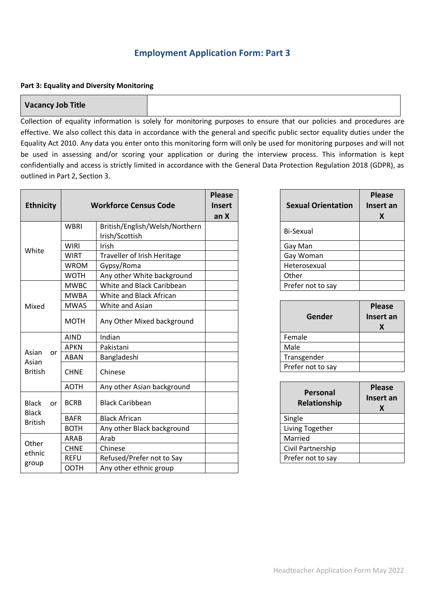# **Employment Application Form: Part 3**

#### **Part 3: Equality and Diversity Monitoring**

#### **Vacancy Job Title**

Collection of equality information is solely for monitoring purposes to ensure that our policies and procedures are effective. We also collect this data in accordance with the general and specific public sector equality duties under the Equality Act 2010. Any data you enter onto this monitoring form will only be used for monitoring purposes and will not be used in assessing and/or scoring your application or during the interview process. This information is kept confidentially and access is strictly limited in accordance with the General Data Protection Regulation 2018 (GDPR), as outlined in Part 2, Section 3.

| <b>Ethnicity</b>             |             |                            | <b>Workforce Census Code</b>                     | <b>Please</b><br><b>Insert</b><br>an X | <b>Sexual Orienta</b>   |
|------------------------------|-------------|----------------------------|--------------------------------------------------|----------------------------------------|-------------------------|
|                              |             | <b>WBRI</b>                | British/English/Welsh/Northern<br>Irish/Scottish |                                        | Bi-Sexual               |
| White                        |             | <b>WIRI</b>                | Irish                                            |                                        | Gay Man                 |
|                              |             | <b>WIRT</b>                | Traveller of Irish Heritage                      |                                        | Gay Woman               |
|                              |             | <b>WROM</b>                | Gypsy/Roma                                       |                                        | Heterosexual            |
|                              |             | <b>WOTH</b>                | Any other White background                       |                                        | Other                   |
|                              |             | <b>MWBC</b>                | White and Black Caribbean                        |                                        | Prefer not to say       |
|                              |             | <b>MWBA</b>                | White and Black African                          |                                        |                         |
| Mixed                        |             | <b>MWAS</b>                | White and Asian                                  |                                        |                         |
|                              |             | <b>MOTH</b>                | Any Other Mixed background                       |                                        | <b>Gender</b>           |
|                              |             | <b>AIND</b>                | Indian                                           |                                        | Female                  |
| Asian<br>or                  |             | <b>APKN</b>                | Pakistani                                        |                                        | Male                    |
|                              |             | <b>ABAN</b>                | Bangladeshi                                      |                                        | Transgender             |
| Asian<br><b>British</b>      |             | <b>CHNE</b>                | Chinese                                          |                                        | Prefer not to say       |
|                              |             | <b>AOTH</b>                | Any other Asian background                       |                                        |                         |
| <b>Black</b><br><b>Black</b> | or          | <b>BCRB</b>                | <b>Black Caribbean</b>                           |                                        | Personal<br>Relationshi |
| <b>British</b>               |             | <b>BAFR</b>                | <b>Black African</b>                             |                                        | Single                  |
|                              | <b>BOTH</b> | Any other Black background |                                                  | Living Together                        |                         |
|                              |             | <b>ARAB</b>                | Arab                                             |                                        | Married                 |
| Other                        |             | <b>CHNE</b>                | Chinese                                          |                                        | Civil Partnership       |
| ethnic                       |             | <b>REFU</b>                | Refused/Prefer not to Say                        |                                        | Prefer not to say       |
| group                        | <b>OOTH</b> | Any other ethnic group     |                                                  |                                        |                         |

| <b>Sexual Orientation</b> | <b>Please</b><br>Insert an<br>X |
|---------------------------|---------------------------------|
| <b>Bi-Sexual</b>          |                                 |
| Gay Man                   |                                 |
| Gay Woman                 |                                 |
| Heterosexual              |                                 |
| Other                     |                                 |
| Prefer not to say         |                                 |

| Gender            | <b>Please</b><br>Insert an<br>X |
|-------------------|---------------------------------|
| Female            |                                 |
| Male              |                                 |
| Transgender       |                                 |
| Prefer not to say |                                 |

| Personal<br>Relationship | <b>Please</b><br>Insert an<br>X |
|--------------------------|---------------------------------|
| Single                   |                                 |
| Living Together          |                                 |
| Married                  |                                 |
| Civil Partnership        |                                 |
| Prefer not to say        |                                 |